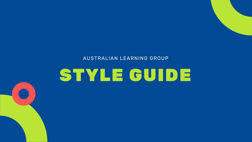#### AUSTRALIAN LEARNING GROUP

# STYLE GUIDE

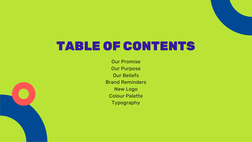### TABLE OF CONTENTS

Our Promise Our Purpose Our Beliefs Brand Reminders New Logo Colour Palette Typography



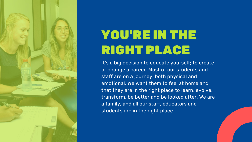

## YOU'RE IN THE RIGHT PLACE

It's a big decision to educate yourself; to create or change a career. Most of our students and staff are on a journey, both physical and emotional. We want them to feel at home and that they are in the right place to learn, evolve, transform, be better and be looked after. We are a family, and all our staff, educators and students are in the right place.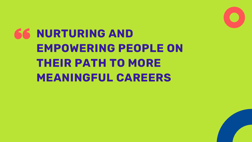## **NURTURING AND EMPOWERING PEOPLE ON THEIR PATH TO MORE MEANINGFUL CAREERS**

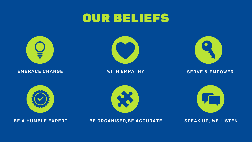### OUR BELIEFS



#### EMBRACE CHANGE WITH EMPATHY SERVE & EMPOWER







BE A HUMBLE EXPERT BE ORGANISED, BE ACCURATE SPEAK UP, WE LISTEN









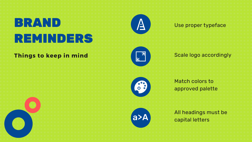## BRAND REMINDERS

### Things to keep in mind



 $\Delta$ 



#### Use proper typeface

All headings must be a>A capital letters

### Scale logo accordingly

Match colors to approved palette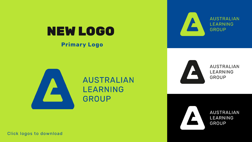# NEW LOGO

### **Primary Logo**



### **AUSTRALIAN LEARNING GROUP**

Click logos to download



#### **AUSTRALIAN LEARNING** GROUP



#### **AUSTRALIAN LEARNING** GROUP



**AUSTRALIAN LEARNING GROUP**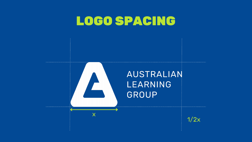### LOGO SPACING

x

### AUSTRALIAN **LEARNING** GROUP



 $1/2x$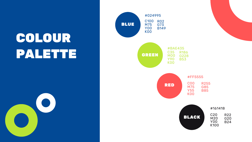## COLOUR PALETTE



RED



BLUE GREEN #024995 C100 R02 G73 B149 M75 Y00 K00 #BAE435 R186 G228 B53 C35 M00 Y90 K00

> #FF5555 R255 G85 B85 C00 M75 Y55 K00

> > #161418

| C20  | R22 |
|------|-----|
| M20  | G20 |
| YOO  | B24 |
| K100 |     |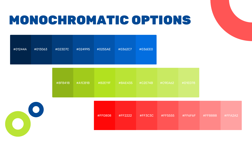## MONOCHROMATIC OPTIONS

| #8FB418 | #A1CB1B | #B2E11F | #BAE435 | #C9EA62 | #D1ED78 |
|---------|---------|---------|---------|---------|---------|
|         |         |         |         |         |         |







| #C9EA62 | #D1ED78 |
|---------|---------|
|         |         |

| #01244A | #013063 | #023D7C | #024995 | #0255AE | #0362C7 | #036EE0 |
|---------|---------|---------|---------|---------|---------|---------|
|         |         |         |         |         |         |         |

| #FF0808 | #FF2222 | #FF3C3C | #FF5555 | #FF6F6F #FF8888 #FFA2A2 |  |
|---------|---------|---------|---------|-------------------------|--|
|         |         |         |         |                         |  |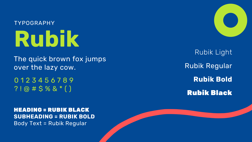## **Rubik** TYPOGRAPHY

The quick brown fox jumps over the lazy cow.

### Rubik Light Rubik Regular **Rubik Bold** Rubik Black

0 1 2 3 4 5 6 7 8 9 ? ! @ # \$ % & \* ( )

HEADING = RUBIK BLACK **SUBHEADING = RUBIK BOLD** Body Text = Rubik Regular

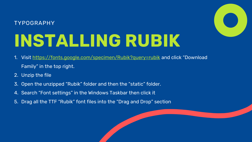# **INSTALLING RUBIK**

### TYPOGRAPHY

- Visit <https://fonts.google.com/specimen/Rubik?query=rubik> and click "Download Family" in the top right.
- 2. Unzip the file
- 3. Open the unzipped "Rubik" folder and then the "static" folder.
- 4. Search "Font settings" in the Windows Taskbar then click it
- 5. Drag all the TTF "Rubik" font files into the "Drag and Drop" section



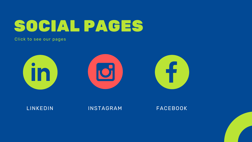

#### LINKEDIN INSTAGRAM FACEBOOK







#### Click to see our pages